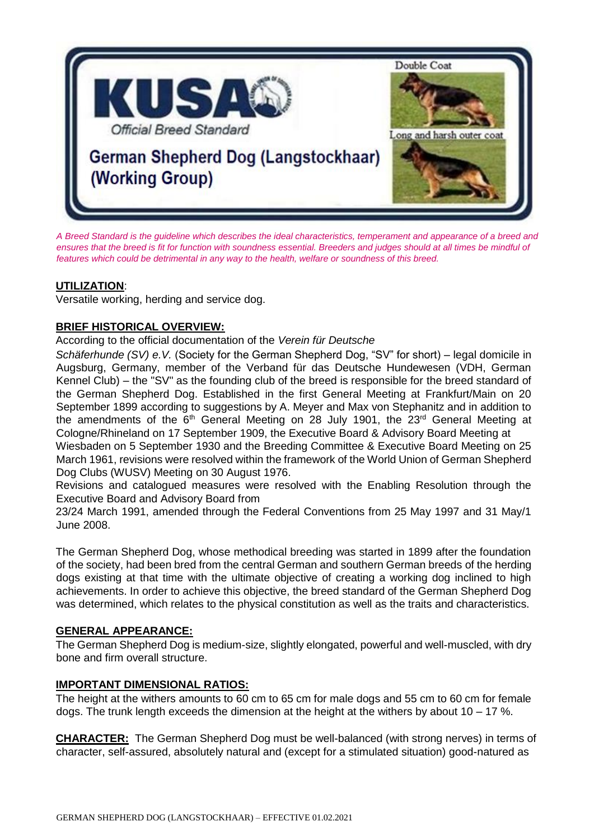

*A Breed Standard is the guideline which describes the ideal characteristics, temperament and appearance of a breed and ensures that the breed is fit for function with soundness essential. Breeders and judges should at all times be mindful of features which could be detrimental in any way to the health, welfare or soundness of this breed.*

## **UTILIZATION**:

Versatile working, herding and service dog.

## **BRIEF HISTORICAL OVERVIEW:**

According to the official documentation of the *Verein für Deutsche* 

*Schäferhunde (SV) e.V.* (Society for the German Shepherd Dog, "SV" for short) – legal domicile in Augsburg, Germany, member of the Verband für das Deutsche Hundewesen (VDH, German Kennel Club) – the "SV" as the founding club of the breed is responsible for the breed standard of the German Shepherd Dog. Established in the first General Meeting at Frankfurt/Main on 20 September 1899 according to suggestions by A. Meyer and Max von Stephanitz and in addition to the amendments of the  $6<sup>th</sup>$  General Meeting on 28 July 1901, the 23<sup>rd</sup> General Meeting at Cologne/Rhineland on 17 September 1909, the Executive Board & Advisory Board Meeting at

Wiesbaden on 5 September 1930 and the Breeding Committee & Executive Board Meeting on 25 March 1961, revisions were resolved within the framework of the World Union of German Shepherd Dog Clubs (WUSV) Meeting on 30 August 1976.

Revisions and catalogued measures were resolved with the Enabling Resolution through the Executive Board and Advisory Board from

23/24 March 1991, amended through the Federal Conventions from 25 May 1997 and 31 May/1 June 2008.

The German Shepherd Dog, whose methodical breeding was started in 1899 after the foundation of the society, had been bred from the central German and southern German breeds of the herding dogs existing at that time with the ultimate objective of creating a working dog inclined to high achievements. In order to achieve this objective, the breed standard of the German Shepherd Dog was determined, which relates to the physical constitution as well as the traits and characteristics.

## **GENERAL APPEARANCE:**

The German Shepherd Dog is medium-size, slightly elongated, powerful and well-muscled, with dry bone and firm overall structure.

## **IMPORTANT DIMENSIONAL RATIOS:**

The height at the withers amounts to 60 cm to 65 cm for male dogs and 55 cm to 60 cm for female dogs. The trunk length exceeds the dimension at the height at the withers by about  $10 - 17$  %.

**CHARACTER:** The German Shepherd Dog must be well-balanced (with strong nerves) in terms of character, self-assured, absolutely natural and (except for a stimulated situation) good-natured as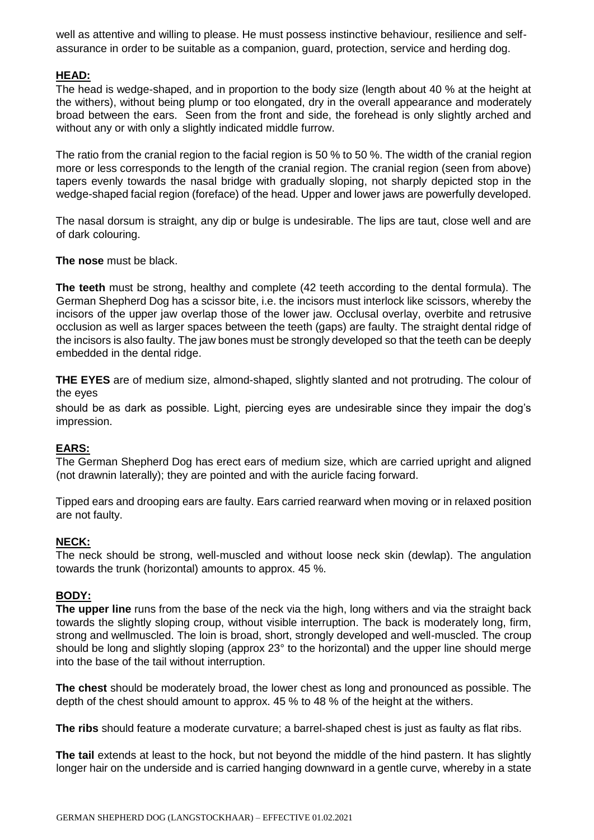well as attentive and willing to please. He must possess instinctive behaviour, resilience and selfassurance in order to be suitable as a companion, guard, protection, service and herding dog.

## **HEAD:**

The head is wedge-shaped, and in proportion to the body size (length about 40 % at the height at the withers), without being plump or too elongated, dry in the overall appearance and moderately broad between the ears. Seen from the front and side, the forehead is only slightly arched and without any or with only a slightly indicated middle furrow.

The ratio from the cranial region to the facial region is 50 % to 50 %. The width of the cranial region more or less corresponds to the length of the cranial region. The cranial region (seen from above) tapers evenly towards the nasal bridge with gradually sloping, not sharply depicted stop in the wedge-shaped facial region (foreface) of the head. Upper and lower jaws are powerfully developed.

The nasal dorsum is straight, any dip or bulge is undesirable. The lips are taut, close well and are of dark colouring.

**The nose** must be black.

**The teeth** must be strong, healthy and complete (42 teeth according to the dental formula). The German Shepherd Dog has a scissor bite, i.e. the incisors must interlock like scissors, whereby the incisors of the upper jaw overlap those of the lower jaw. Occlusal overlay, overbite and retrusive occlusion as well as larger spaces between the teeth (gaps) are faulty. The straight dental ridge of the incisors is also faulty. The jaw bones must be strongly developed so that the teeth can be deeply embedded in the dental ridge.

**THE EYES** are of medium size, almond-shaped, slightly slanted and not protruding. The colour of the eyes

should be as dark as possible. Light, piercing eyes are undesirable since they impair the dog's impression.

## **EARS:**

The German Shepherd Dog has erect ears of medium size, which are carried upright and aligned (not drawnin laterally); they are pointed and with the auricle facing forward.

Tipped ears and drooping ears are faulty. Ears carried rearward when moving or in relaxed position are not faulty.

## **NECK:**

The neck should be strong, well-muscled and without loose neck skin (dewlap). The angulation towards the trunk (horizontal) amounts to approx. 45 %.

## **BODY:**

**The upper line** runs from the base of the neck via the high, long withers and via the straight back towards the slightly sloping croup, without visible interruption. The back is moderately long, firm, strong and wellmuscled. The loin is broad, short, strongly developed and well-muscled. The croup should be long and slightly sloping (approx 23° to the horizontal) and the upper line should merge into the base of the tail without interruption.

**The chest** should be moderately broad, the lower chest as long and pronounced as possible. The depth of the chest should amount to approx. 45 % to 48 % of the height at the withers.

**The ribs** should feature a moderate curvature; a barrel-shaped chest is just as faulty as flat ribs.

**The tail** extends at least to the hock, but not beyond the middle of the hind pastern. It has slightly longer hair on the underside and is carried hanging downward in a gentle curve, whereby in a state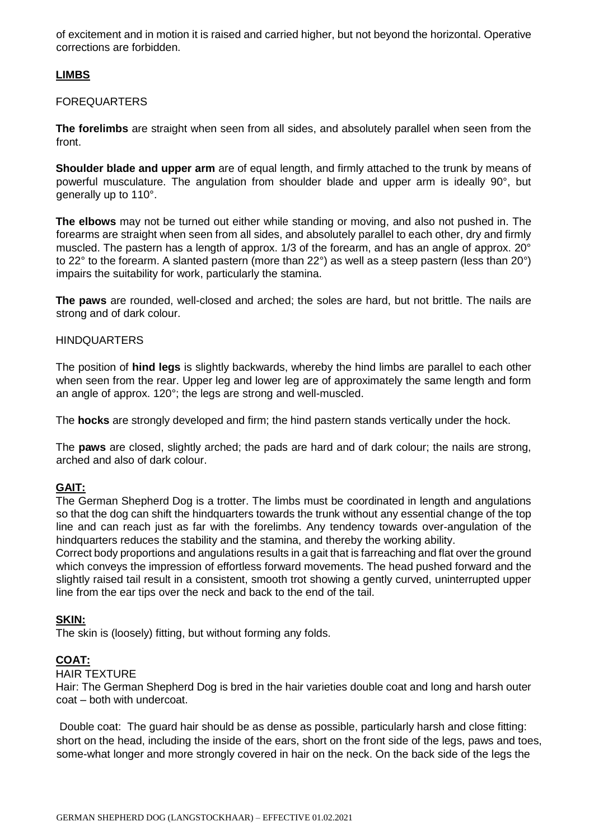of excitement and in motion it is raised and carried higher, but not beyond the horizontal. Operative corrections are forbidden.

## **LIMBS**

## FOREQUARTERS

**The forelimbs** are straight when seen from all sides, and absolutely parallel when seen from the front.

**Shoulder blade and upper arm** are of equal length, and firmly attached to the trunk by means of powerful musculature. The angulation from shoulder blade and upper arm is ideally 90°, but generally up to 110°.

**The elbows** may not be turned out either while standing or moving, and also not pushed in. The forearms are straight when seen from all sides, and absolutely parallel to each other, dry and firmly muscled. The pastern has a length of approx. 1/3 of the forearm, and has an angle of approx. 20° to 22° to the forearm. A slanted pastern (more than 22°) as well as a steep pastern (less than 20°) impairs the suitability for work, particularly the stamina.

**The paws** are rounded, well-closed and arched; the soles are hard, but not brittle. The nails are strong and of dark colour.

## HINDQUARTERS

The position of **hind legs** is slightly backwards, whereby the hind limbs are parallel to each other when seen from the rear. Upper leg and lower leg are of approximately the same length and form an angle of approx. 120°; the legs are strong and well-muscled.

The **hocks** are strongly developed and firm; the hind pastern stands vertically under the hock.

The **paws** are closed, slightly arched; the pads are hard and of dark colour; the nails are strong, arched and also of dark colour.

## **GAIT:**

The German Shepherd Dog is a trotter. The limbs must be coordinated in length and angulations so that the dog can shift the hindquarters towards the trunk without any essential change of the top line and can reach just as far with the forelimbs. Any tendency towards over-angulation of the hindquarters reduces the stability and the stamina, and thereby the working ability.

Correct body proportions and angulations results in a gait that is farreaching and flat over the ground which conveys the impression of effortless forward movements. The head pushed forward and the slightly raised tail result in a consistent, smooth trot showing a gently curved, uninterrupted upper line from the ear tips over the neck and back to the end of the tail.

## **SKIN:**

The skin is (loosely) fitting, but without forming any folds.

## **COAT:**

## HAIR TEXTURE

Hair: The German Shepherd Dog is bred in the hair varieties double coat and long and harsh outer coat – both with undercoat.

Double coat: The guard hair should be as dense as possible, particularly harsh and close fitting: short on the head, including the inside of the ears, short on the front side of the legs, paws and toes, some-what longer and more strongly covered in hair on the neck. On the back side of the legs the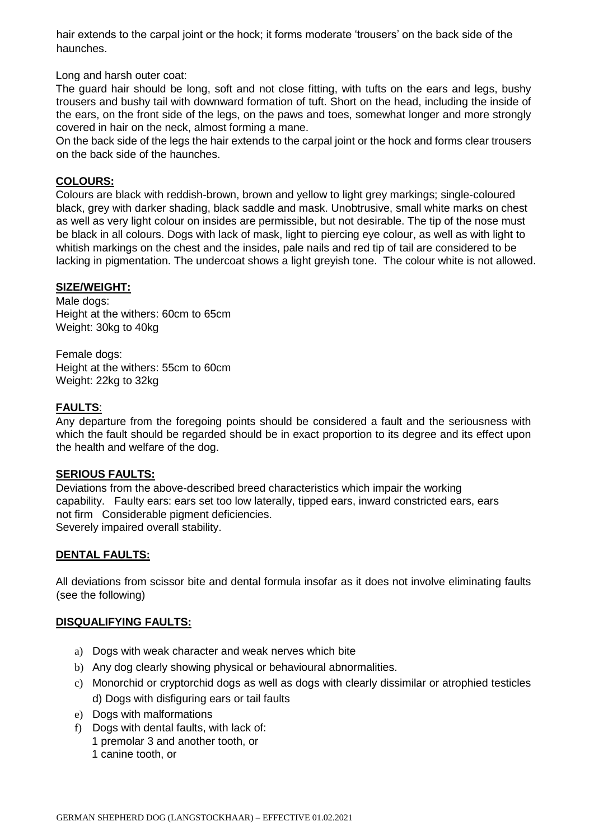hair extends to the carpal joint or the hock; it forms moderate 'trousers' on the back side of the haunches.

Long and harsh outer coat:

The guard hair should be long, soft and not close fitting, with tufts on the ears and legs, bushy trousers and bushy tail with downward formation of tuft. Short on the head, including the inside of the ears, on the front side of the legs, on the paws and toes, somewhat longer and more strongly covered in hair on the neck, almost forming a mane.

On the back side of the legs the hair extends to the carpal joint or the hock and forms clear trousers on the back side of the haunches.

#### **COLOURS:**

Colours are black with reddish-brown, brown and yellow to light grey markings; single-coloured black, grey with darker shading, black saddle and mask. Unobtrusive, small white marks on chest as well as very light colour on insides are permissible, but not desirable. The tip of the nose must be black in all colours. Dogs with lack of mask, light to piercing eye colour, as well as with light to whitish markings on the chest and the insides, pale nails and red tip of tail are considered to be lacking in pigmentation. The undercoat shows a light greyish tone. The colour white is not allowed.

#### **SIZE/WEIGHT:**

Male dogs: Height at the withers: 60cm to 65cm Weight: 30kg to 40kg

Female dogs: Height at the withers: 55cm to 60cm Weight: 22kg to 32kg

## **FAULTS**:

Any departure from the foregoing points should be considered a fault and the seriousness with which the fault should be regarded should be in exact proportion to its degree and its effect upon the health and welfare of the dog.

## **SERIOUS FAULTS:**

Deviations from the above-described breed characteristics which impair the working capability. Faulty ears: ears set too low laterally, tipped ears, inward constricted ears, ears not firm Considerable pigment deficiencies. Severely impaired overall stability.

## **DENTAL FAULTS:**

All deviations from scissor bite and dental formula insofar as it does not involve eliminating faults (see the following)

## **DISQUALIFYING FAULTS:**

- a) Dogs with weak character and weak nerves which bite
- b) Any dog clearly showing physical or behavioural abnormalities.
- c) Monorchid or cryptorchid dogs as well as dogs with clearly dissimilar or atrophied testicles d) Dogs with disfiguring ears or tail faults
- e) Dogs with malformations
- f) Dogs with dental faults, with lack of:
	- 1 premolar 3 and another tooth, or
		- 1 canine tooth, or